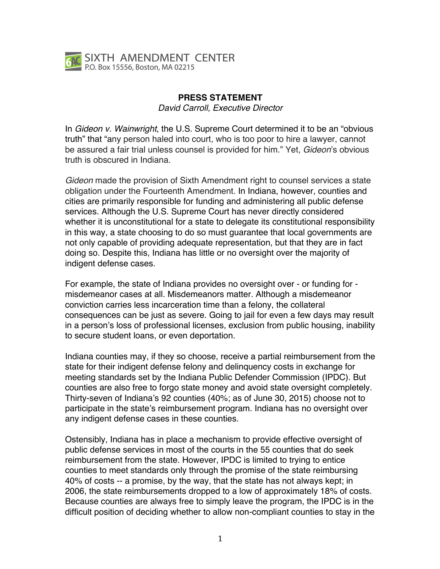

## **PRESS STATEMENT**

*David Carroll, Executive Director*

In *Gideon v. Wainwright*, the U.S. Supreme Court determined it to be an "obvious truth" that "any person haled into court, who is too poor to hire a lawyer, cannot be assured a fair trial unless counsel is provided for him." Yet, *Gideon*'s obvious truth is obscured in Indiana.

*Gideon* made the provision of Sixth Amendment right to counsel services a state obligation under the Fourteenth Amendment. In Indiana, however, counties and cities are primarily responsible for funding and administering all public defense services. Although the U.S. Supreme Court has never directly considered whether it is unconstitutional for a state to delegate its constitutional responsibility in this way, a state choosing to do so must guarantee that local governments are not only capable of providing adequate representation, but that they are in fact doing so. Despite this, Indiana has little or no oversight over the majority of indigent defense cases.

For example, the state of Indiana provides no oversight over - or funding for misdemeanor cases at all. Misdemeanors matter. Although a misdemeanor conviction carries less incarceration time than a felony, the collateral consequences can be just as severe. Going to jail for even a few days may result in a person's loss of professional licenses, exclusion from public housing, inability to secure student loans, or even deportation.

Indiana counties may, if they so choose, receive a partial reimbursement from the state for their indigent defense felony and delinquency costs in exchange for meeting standards set by the Indiana Public Defender Commission (IPDC). But counties are also free to forgo state money and avoid state oversight completely. Thirty-seven of Indiana's 92 counties (40%; as of June 30, 2015) choose not to participate in the state's reimbursement program. Indiana has no oversight over any indigent defense cases in these counties.

Ostensibly, Indiana has in place a mechanism to provide effective oversight of public defense services in most of the courts in the 55 counties that do seek reimbursement from the state. However, IPDC is limited to trying to entice counties to meet standards only through the promise of the state reimbursing 40% of costs -- a promise, by the way, that the state has not always kept; in 2006, the state reimbursements dropped to a low of approximately 18% of costs. Because counties are always free to simply leave the program, the IPDC is in the difficult position of deciding whether to allow non-compliant counties to stay in the